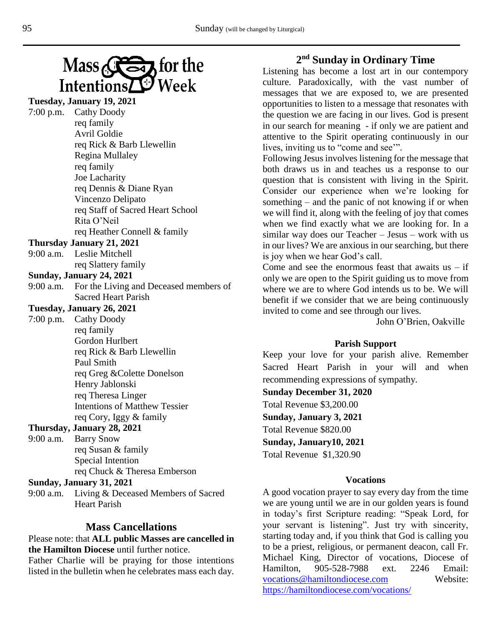

## **Tuesday, January 19, 2021**

 $7:00$  p.m.

| Cathy Doody                      |
|----------------------------------|
| req family                       |
| Avril Goldie                     |
| req Rick & Barb Llewellin        |
| Regina Mullaley                  |
| req family                       |
| Joe Lacharity                    |
| req Dennis & Diane Ryan          |
| Vincenzo Delipato                |
| req Staff of Sacred Heart School |
| Rita O'Neil                      |
| req Heather Connell & family     |

#### **Thursday January 21, 2021**

9:00 a.m. Leslie Mitchell req Slattery family

#### **Sunday, January 24, 2021**

9:00 a.m. For the Living and Deceased members of Sacred Heart Parish

# **Tuesday, January 26, 2021**

7:00 p.m. Cathy Doody req family Gordon Hurlbert req Rick & Barb Llewellin Paul Smith req Greg &Colette Donelson Henry Jablonski req Theresa Linger Intentions of Matthew Tessier req Cory, Iggy & family

## **Thursday, January 28, 2021**

9:00 a.m. Barry Snow req Susan & family Special Intention req Chuck & Theresa Emberson

#### **Sunday, January 31, 2021**

9:00 a.m. Living & Deceased Members of Sacred Heart Parish

### **Mass Cancellations**

Please note: that **ALL public Masses are cancelled in the Hamilton Diocese** until further notice.

Father Charlie will be praying for those intentions listed in the bulletin when he celebrates mass each day.

# **2 nd Sunday in Ordinary Time**

Listening has become a lost art in our contempory culture. Paradoxically, with the vast number of messages that we are exposed to, we are presented opportunities to listen to a message that resonates with the question we are facing in our lives. God is present in our search for meaning - if only we are patient and attentive to the Spirit operating continuously in our lives, inviting us to "come and see'".

Following Jesus involves listening for the message that both draws us in and teaches us a response to our question that is consistent with living in the Spirit. Consider our experience when we're looking for something – and the panic of not knowing if or when we will find it, along with the feeling of joy that comes when we find exactly what we are looking for. In a similar way does our Teacher – Jesus – work with us in our lives? We are anxious in our searching, but there is joy when we hear God's call.

Come and see the enormous feast that awaits us  $-$  if only we are open to the Spirit guiding us to move from where we are to where God intends us to be. We will benefit if we consider that we are being continuously invited to come and see through our lives.

John O'Brien, Oakville

#### **Parish Support**

Keep your love for your parish alive. Remember Sacred Heart Parish in your will and when recommending expressions of sympathy.

#### **Sunday December 31, 2020**

Total Revenue \$3,200.00

**Sunday, January 3, 2021**

Total Revenue \$820.00

**Sunday, January10, 2021** Total Revenue \$1,320.90

#### **Vocations**

A good vocation prayer to say every day from the time we are young until we are in our golden years is found in today's first Scripture reading: "Speak Lord, for your servant is listening". Just try with sincerity, starting today and, if you think that God is calling you to be a priest, religious, or permanent deacon, call Fr. Michael King, Director of vocations, Diocese of Hamilton, 905-528-7988 ext. 2246 Email: [vocations@hamiltondiocese.com](mailto:vocations@hamiltondiocese.com) Website: <https://hamiltondiocese.com/vocations/>